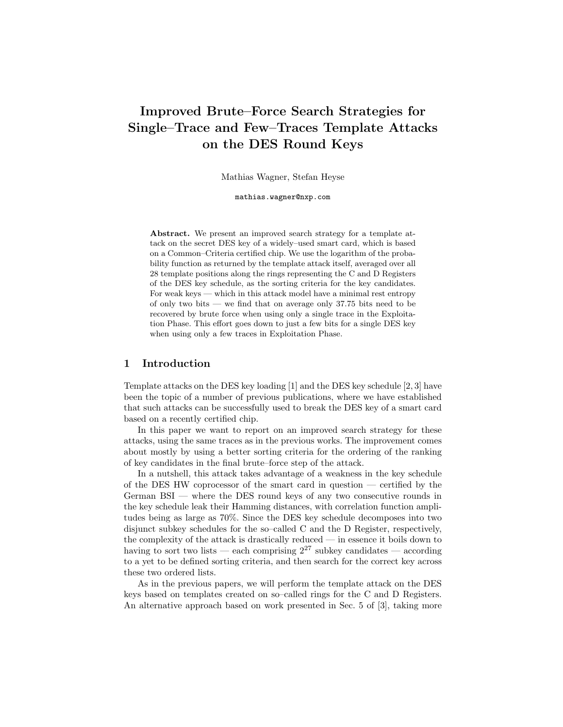# Improved Brute–Force Search Strategies for Single–Trace and Few–Traces Template Attacks on the DES Round Keys

Mathias Wagner, Stefan Heyse

mathias.wagner@nxp.com

Abstract. We present an improved search strategy for a template attack on the secret DES key of a widely–used smart card, which is based on a Common–Criteria certified chip. We use the logarithm of the probability function as returned by the template attack itself, averaged over all 28 template positions along the rings representing the C and D Registers of the DES key schedule, as the sorting criteria for the key candidates. For weak keys — which in this attack model have a minimal rest entropy of only two bits — we find that on average only 37.75 bits need to be recovered by brute force when using only a single trace in the Exploitation Phase. This effort goes down to just a few bits for a single DES key when using only a few traces in Exploitation Phase.

#### 1 Introduction

Template attacks on the DES key loading [1] and the DES key schedule [2, 3] have been the topic of a number of previous publications, where we have established that such attacks can be successfully used to break the DES key of a smart card based on a recently certified chip.

In this paper we want to report on an improved search strategy for these attacks, using the same traces as in the previous works. The improvement comes about mostly by using a better sorting criteria for the ordering of the ranking of key candidates in the final brute–force step of the attack.

In a nutshell, this attack takes advantage of a weakness in the key schedule of the DES HW coprocessor of the smart card in question — certified by the German BSI — where the DES round keys of any two consecutive rounds in the key schedule leak their Hamming distances, with correlation function amplitudes being as large as 70%. Since the DES key schedule decomposes into two disjunct subkey schedules for the so–called C and the D Register, respectively, the complexity of the attack is drastically reduced — in essence it boils down to having to sort two lists — each comprising  $2^{27}$  subkey candidates — according to a yet to be defined sorting criteria, and then search for the correct key across these two ordered lists.

As in the previous papers, we will perform the template attack on the DES keys based on templates created on so–called rings for the C and D Registers. An alternative approach based on work presented in Sec. 5 of [3], taking more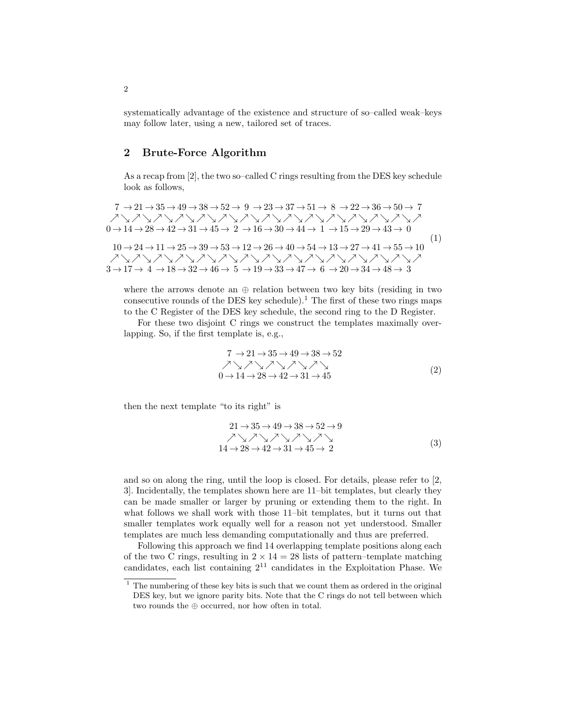systematically advantage of the existence and structure of so–called weak–keys may follow later, using a new, tailored set of traces.

## 2 Brute-Force Algorithm

As a recap from [2], the two so–called C rings resulting from the DES key schedule look as follows,

$$
7 \rightarrow 21 \rightarrow 35 \rightarrow 49 \rightarrow 38 \rightarrow 52 \rightarrow 9 \rightarrow 23 \rightarrow 37 \rightarrow 51 \rightarrow 8 \rightarrow 22 \rightarrow 36 \rightarrow 50 \rightarrow 7
$$
  
\n
$$
\nearrow \searrow \nearrow \searrow \nearrow \searrow \nearrow \searrow \nearrow \searrow \nearrow \searrow \nearrow \searrow \nearrow \searrow \nearrow \searrow \nearrow \searrow \nearrow \searrow \nearrow \searrow \nearrow \searrow \nearrow \searrow \nearrow \searrow \nearrow \searrow \nearrow \searrow \nearrow \searrow \nearrow \searrow \nearrow
$$
  
\n
$$
0 \rightarrow 14 \rightarrow 28 \rightarrow 42 \rightarrow 31 \rightarrow 45 \rightarrow 2 \rightarrow 16 \rightarrow 30 \rightarrow 44 \rightarrow 1 \rightarrow 15 \rightarrow 29 \rightarrow 43 \rightarrow 0
$$
  
\n
$$
10 \rightarrow 24 \rightarrow 11 \rightarrow 25 \rightarrow 39 \rightarrow 53 \rightarrow 12 \rightarrow 26 \rightarrow 40 \rightarrow 54 \rightarrow 13 \rightarrow 27 \rightarrow 41 \rightarrow 55 \rightarrow 10
$$
  
\n
$$
\nearrow \searrow \nearrow \searrow \nearrow \searrow \nearrow \searrow \nearrow \searrow \nearrow \searrow \nearrow \searrow \nearrow \searrow \nearrow \searrow \nearrow \searrow \nearrow \searrow \nearrow \searrow \nearrow \searrow
$$
  
\n
$$
3 \rightarrow 17 \rightarrow 4 \rightarrow 18 \rightarrow 32 \rightarrow 46 \rightarrow 5 \rightarrow 19 \rightarrow 33 \rightarrow 47 \rightarrow 6 \rightarrow 20 \rightarrow 34 \rightarrow 48 \rightarrow 3
$$

where the arrows denote an  $\oplus$  relation between two key bits (residing in two consecutive rounds of the DES key schedule).<sup>1</sup> The first of these two rings maps to the C Register of the DES key schedule, the second ring to the D Register.

For these two disjoint C rings we construct the templates maximally overlapping. So, if the first template is, e.g.,

7 → 21 → 35 → 49 → 38 → 52 % & % & % & % & % & <sup>0</sup> <sup>→</sup> <sup>14</sup> <sup>→</sup> <sup>28</sup> <sup>→</sup> <sup>42</sup> <sup>→</sup> <sup>31</sup> <sup>→</sup> <sup>45</sup> (2)

then the next template "to its right" is

$$
21 \rightarrow 35 \rightarrow 49 \rightarrow 38 \rightarrow 52 \rightarrow 9
$$
  
\n
$$
\nearrow \searrow \nearrow \searrow \nearrow \searrow \nearrow \searrow \nearrow \searrow
$$
  
\n
$$
14 \rightarrow 28 \rightarrow 42 \rightarrow 31 \rightarrow 45 \rightarrow 2
$$
 (3)

and so on along the ring, until the loop is closed. For details, please refer to [2, 3]. Incidentally, the templates shown here are 11–bit templates, but clearly they can be made smaller or larger by pruning or extending them to the right. In what follows we shall work with those 11–bit templates, but it turns out that smaller templates work equally well for a reason not yet understood. Smaller templates are much less demanding computationally and thus are preferred.

Following this approach we find 14 overlapping template positions along each of the two C rings, resulting in  $2 \times 14 = 28$  lists of pattern–template matching candidates, each list containing  $2^{11}$  candidates in the Exploitation Phase. We

 $1$  The numbering of these key bits is such that we count them as ordered in the original DES key, but we ignore parity bits. Note that the C rings do not tell between which two rounds the ⊕ occurred, nor how often in total.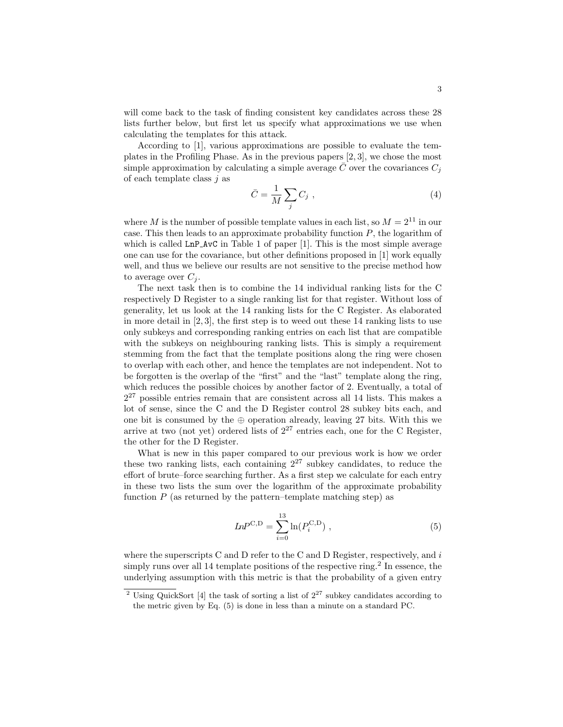will come back to the task of finding consistent key candidates across these 28 lists further below, but first let us specify what approximations we use when calculating the templates for this attack.

According to [1], various approximations are possible to evaluate the templates in the Profiling Phase. As in the previous papers [2, 3], we chose the most simple approximation by calculating a simple average  $\overline{C}$  over the covariances  $C_i$ of each template class  $i$  as

$$
\bar{C} = \frac{1}{M} \sum_{j} C_j \tag{4}
$$

where M is the number of possible template values in each list, so  $M = 2^{11}$  in our case. This then leads to an approximate probability function  $P$ , the logarithm of which is called  $\text{Ln} \text{P}$  AvC in Table 1 of paper [1]. This is the most simple average one can use for the covariance, but other definitions proposed in [1] work equally well, and thus we believe our results are not sensitive to the precise method how to average over  $C_i$ .

The next task then is to combine the 14 individual ranking lists for the C respectively D Register to a single ranking list for that register. Without loss of generality, let us look at the 14 ranking lists for the C Register. As elaborated in more detail in  $[2, 3]$ , the first step is to weed out these 14 ranking lists to use only subkeys and corresponding ranking entries on each list that are compatible with the subkeys on neighbouring ranking lists. This is simply a requirement stemming from the fact that the template positions along the ring were chosen to overlap with each other, and hence the templates are not independent. Not to be forgotten is the overlap of the "first" and the "last" template along the ring, which reduces the possible choices by another factor of 2. Eventually, a total of  $2^{27}$  possible entries remain that are consistent across all 14 lists. This makes a lot of sense, since the C and the D Register control 28 subkey bits each, and one bit is consumed by the  $oplus$  operation already, leaving 27 bits. With this we arrive at two (not yet) ordered lists of  $2^{27}$  entries each, one for the C Register, the other for the D Register.

What is new in this paper compared to our previous work is how we order these two ranking lists, each containing  $2^{27}$  subkey candidates, to reduce the effort of brute–force searching further. As a first step we calculate for each entry in these two lists the sum over the logarithm of the approximate probability function  $P$  (as returned by the pattern–template matching step) as

$$
LnP^{C,D} = \sum_{i=0}^{13} \ln(P_i^{C,D}), \qquad (5)
$$

where the superscripts C and D refer to the C and D Register, respectively, and  $i$ simply runs over all 14 template positions of the respective ring.<sup>2</sup> In essence, the underlying assumption with this metric is that the probability of a given entry

<sup>&</sup>lt;sup>2</sup> Using QuickSort [4] the task of sorting a list of  $2^{27}$  subkey candidates according to the metric given by Eq. (5) is done in less than a minute on a standard PC.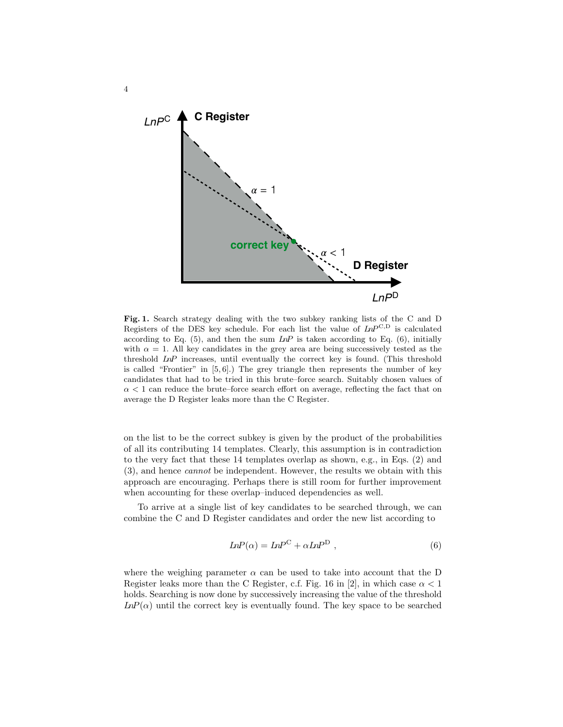

4

Fig. 1. Search strategy dealing with the two subkey ranking lists of the C and D Registers of the DES key schedule. For each list the value of  $InP^{C,D}$  is calculated according to Eq.  $(5)$ , and then the sum  $LnP$  is taken according to Eq.  $(6)$ , initially with  $\alpha = 1$ . All key candidates in the grey area are being successively tested as the threshold LnP increases, until eventually the correct key is found. (This threshold is called "Frontier" in  $[5, 6]$ .) The grey triangle then represents the number of key candidates that had to be tried in this brute–force search. Suitably chosen values of  $\alpha$  < 1 can reduce the brute–force search effort on average, reflecting the fact that on average the D Register leaks more than the C Register.

on the list to be the correct subkey is given by the product of the probabilities of all its contributing 14 templates. Clearly, this assumption is in contradiction to the very fact that these 14 templates overlap as shown, e.g., in Eqs. (2) and (3), and hence cannot be independent. However, the results we obtain with this approach are encouraging. Perhaps there is still room for further improvement when accounting for these overlap–induced dependencies as well.

To arrive at a single list of key candidates to be searched through, we can combine the C and D Register candidates and order the new list according to

$$
InP(\alpha) = InP^C + \alpha InP^D , \qquad (6)
$$

where the weighing parameter  $\alpha$  can be used to take into account that the D Register leaks more than the C Register, c.f. Fig. 16 in [2], in which case  $\alpha < 1$ holds. Searching is now done by successively increasing the value of the threshold  $LnP(\alpha)$  until the correct key is eventually found. The key space to be searched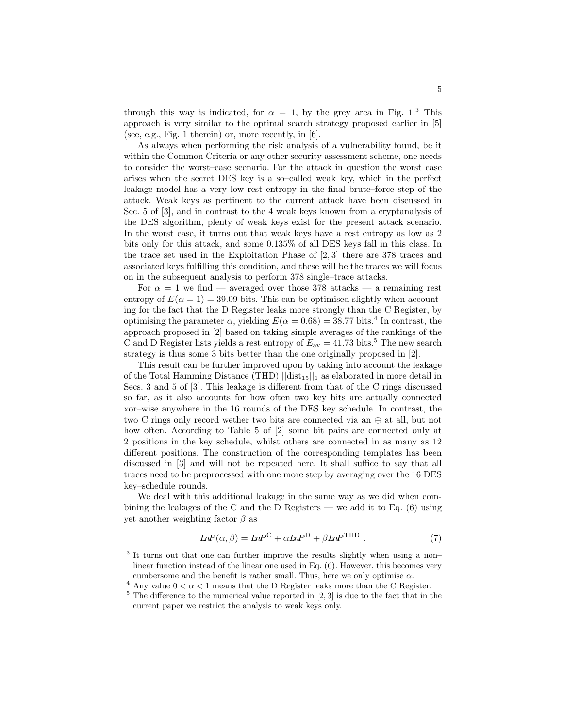through this way is indicated, for  $\alpha = 1$ , by the grey area in Fig. 1.<sup>3</sup> This approach is very similar to the optimal search strategy proposed earlier in [5] (see, e.g., Fig. 1 therein) or, more recently, in [6].

As always when performing the risk analysis of a vulnerability found, be it within the Common Criteria or any other security assessment scheme, one needs to consider the worst–case scenario. For the attack in question the worst case arises when the secret DES key is a so–called weak key, which in the perfect leakage model has a very low rest entropy in the final brute–force step of the attack. Weak keys as pertinent to the current attack have been discussed in Sec. 5 of [3], and in contrast to the 4 weak keys known from a cryptanalysis of the DES algorithm, plenty of weak keys exist for the present attack scenario. In the worst case, it turns out that weak keys have a rest entropy as low as 2 bits only for this attack, and some 0.135% of all DES keys fall in this class. In the trace set used in the Exploitation Phase of [2, 3] there are 378 traces and associated keys fulfilling this condition, and these will be the traces we will focus on in the subsequent analysis to perform 378 single–trace attacks.

For  $\alpha = 1$  we find — averaged over those 378 attacks — a remaining rest entropy of  $E(\alpha = 1) = 39.09$  bits. This can be optimised slightly when accounting for the fact that the D Register leaks more strongly than the C Register, by optimising the parameter  $\alpha$ , yielding  $E(\alpha = 0.68) = 38.77$  bits.<sup>4</sup> In contrast, the approach proposed in [2] based on taking simple averages of the rankings of the C and D Register lists yields a rest entropy of  $E_{\text{av}} = 41.73$  bits.<sup>5</sup> The new search strategy is thus some 3 bits better than the one originally proposed in [2].

This result can be further improved upon by taking into account the leakage of the Total Hamming Distance (THD)  $\vert\vert\mathrm{dist}_{15}\vert\vert_1$  as elaborated in more detail in Secs. 3 and 5 of [3]. This leakage is different from that of the C rings discussed so far, as it also accounts for how often two key bits are actually connected xor–wise anywhere in the 16 rounds of the DES key schedule. In contrast, the two C rings only record wether two bits are connected via an ⊕ at all, but not how often. According to Table 5 of [2] some bit pairs are connected only at 2 positions in the key schedule, whilst others are connected in as many as 12 different positions. The construction of the corresponding templates has been discussed in [3] and will not be repeated here. It shall suffice to say that all traces need to be preprocessed with one more step by averaging over the 16 DES key–schedule rounds.

We deal with this additional leakage in the same way as we did when combining the leakages of the C and the D Registers — we add it to Eq. (6) using yet another weighting factor  $\beta$  as

$$
InP(\alpha, \beta) = InP^{C} + \alpha InP^{D} + \beta InP^{THD} .
$$
\n(7)

<sup>&</sup>lt;sup>3</sup> It turns out that one can further improve the results slightly when using a non– linear function instead of the linear one used in Eq. (6). However, this becomes very cumbersome and the benefit is rather small. Thus, here we only optimise  $\alpha$ .

 $^4$  Any value  $0<\alpha<1$  means that the D Register leaks more than the C Register.

 $5$  The difference to the numerical value reported in [2, 3] is due to the fact that in the current paper we restrict the analysis to weak keys only.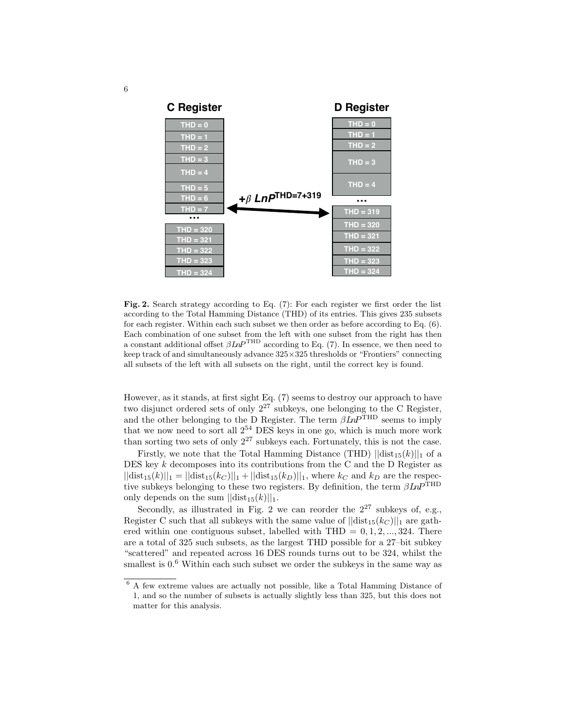

Fig. 2. Search strategy according to Eq. (7): For each register we first order the list according to the Total Hamming Distance (THD) of its entries. This gives 235 subsets for each register. Within each such subset we then order as before according to Eq. (6). Each combination of one subset from the left with one subset from the right has then a constant additional offset  $\beta \text{Ln}P^{\text{THD}}$  according to Eq. (7). In essence, we then need to keep track of and simultaneously advance 325×325 thresholds or "Frontiers" connecting all subsets of the left with all subsets on the right, until the correct key is found.

However, as it stands, at first sight Eq. (7) seems to destroy our approach to have two disjunct ordered sets of only  $2^{27}$  subkeys, one belonging to the C Register, and the other belonging to the D Register. The term  $\beta InP^{\text{THD}}$  seems to imply that we now need to sort all  $2^{54}$  DES keys in one go, which is much more work than sorting two sets of only  $2^{27}$  subkeys each. Fortunately, this is not the case.

Firstly, we note that the Total Hamming Distance (THD)  $||dist_{15}(k)||_1$  of a DES key  $k$  decomposes into its contributions from the C and the D Register as  $||dist_{15}(k)||_1 = ||dist_{15}(k_C)||_1 + ||dist_{15}(k_D)||_1$ , where  $k_C$  and  $k_D$  are the respective subkeys belonging to these two registers. By definition, the term  $\beta\mathit{In}P^{\mathrm{THD}}$ only depends on the sum  $||dist_{15}(k)||_1$ .

Secondly, as illustrated in Fig. 2 we can reorder the  $2^{27}$  subkeys of, e.g., Register C such that all subkeys with the same value of  $||dist_{15}(k_C)||_1$  are gathered within one contiguous subset, labelled with  $THD = 0, 1, 2, ..., 324$ . There are a total of 325 such subsets, as the largest THD possible for a 27–bit subkey "scattered" and repeated across 16 DES rounds turns out to be 324, whilst the smallest is  $0.6$  Within each such subset we order the subkeys in the same way as

<sup>6</sup> A few extreme values are actually not possible, like a Total Hamming Distance of 1, and so the number of subsets is actually slightly less than 325, but this does not matter for this analysis.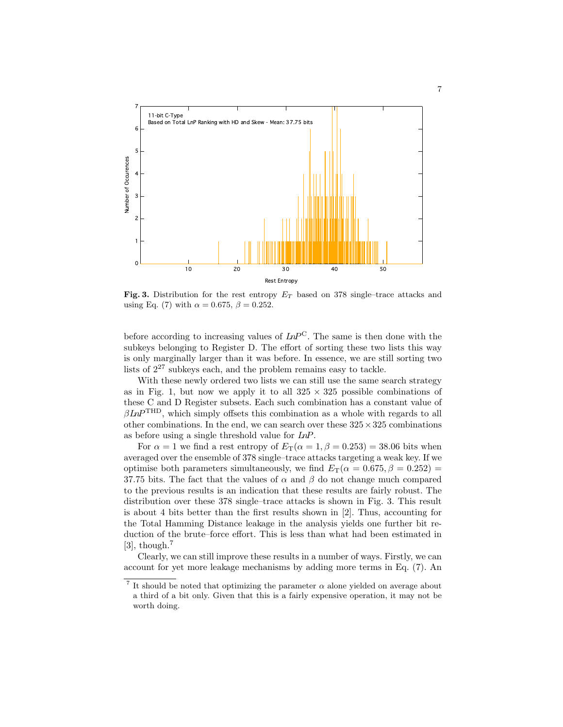

Fig. 3. Distribution for the rest entropy  $E_T$  based on 378 single–trace attacks and using Eq. (7) with  $\alpha = 0.675$ ,  $\beta = 0.252$ .

before according to increasing values of  $LnP^C$ . The same is then done with the subkeys belonging to Register D. The effort of sorting these two lists this way is only marginally larger than it was before. In essence, we are still sorting two lists of  $2^{27}$  subkeys each, and the problem remains easy to tackle.

With these newly ordered two lists we can still use the same search strategy as in Fig. 1, but now we apply it to all  $325 \times 325$  possible combinations of these C and D Register subsets. Each such combination has a constant value of  $\beta \text{Ln} P^{\text{THD}}$ , which simply offsets this combination as a whole with regards to all other combinations. In the end, we can search over these  $325 \times 325$  combinations as before using a single threshold value for LnP.

For  $\alpha = 1$  we find a rest entropy of  $E_T(\alpha = 1, \beta = 0.253) = 38.06$  bits when averaged over the ensemble of 378 single–trace attacks targeting a weak key. If we optimise both parameters simultaneously, we find  $E_T(\alpha = 0.675, \beta = 0.252)$ 37.75 bits. The fact that the values of  $\alpha$  and  $\beta$  do not change much compared to the previous results is an indication that these results are fairly robust. The distribution over these 378 single–trace attacks is shown in Fig. 3. This result is about 4 bits better than the first results shown in [2]. Thus, accounting for the Total Hamming Distance leakage in the analysis yields one further bit reduction of the brute–force effort. This is less than what had been estimated in [3], though.<sup>7</sup>

Clearly, we can still improve these results in a number of ways. Firstly, we can account for yet more leakage mechanisms by adding more terms in Eq. (7). An

<sup>&</sup>lt;sup>7</sup> It should be noted that optimizing the parameter  $\alpha$  alone yielded on average about a third of a bit only. Given that this is a fairly expensive operation, it may not be worth doing.